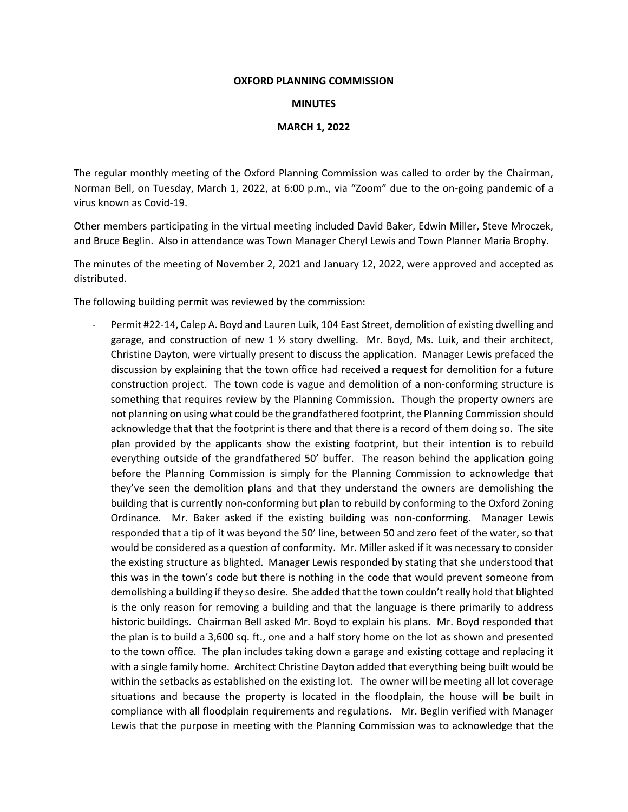## **OXFORD PLANNING COMMISSION**

## **MINUTES**

## **MARCH 1, 2022**

The regular monthly meeting of the Oxford Planning Commission was called to order by the Chairman, Norman Bell, on Tuesday, March 1, 2022, at 6:00 p.m., via "Zoom" due to the on-going pandemic of a virus known as Covid-19.

Other members participating in the virtual meeting included David Baker, Edwin Miller, Steve Mroczek, and Bruce Beglin. Also in attendance was Town Manager Cheryl Lewis and Town Planner Maria Brophy.

The minutes of the meeting of November 2, 2021 and January 12, 2022, were approved and accepted as distributed.

The following building permit was reviewed by the commission:

Permit #22-14, Calep A. Boyd and Lauren Luik, 104 East Street, demolition of existing dwelling and garage, and construction of new 1  $\frac{1}{2}$  story dwelling. Mr. Boyd, Ms. Luik, and their architect, Christine Dayton, were virtually present to discuss the application. Manager Lewis prefaced the discussion by explaining that the town office had received a request for demolition for a future construction project. The town code is vague and demolition of a non-conforming structure is something that requires review by the Planning Commission. Though the property owners are not planning on using what could be the grandfathered footprint, the Planning Commission should acknowledge that that the footprint is there and that there is a record of them doing so. The site plan provided by the applicants show the existing footprint, but their intention is to rebuild everything outside of the grandfathered 50' buffer. The reason behind the application going before the Planning Commission is simply for the Planning Commission to acknowledge that they've seen the demolition plans and that they understand the owners are demolishing the building that is currently non-conforming but plan to rebuild by conforming to the Oxford Zoning Ordinance. Mr. Baker asked if the existing building was non-conforming. Manager Lewis responded that a tip of it was beyond the 50' line, between 50 and zero feet of the water, so that would be considered as a question of conformity. Mr. Miller asked if it was necessary to consider the existing structure as blighted. Manager Lewis responded by stating that she understood that this was in the town's code but there is nothing in the code that would prevent someone from demolishing a building if they so desire. She added that the town couldn't really hold that blighted is the only reason for removing a building and that the language is there primarily to address historic buildings. Chairman Bell asked Mr. Boyd to explain his plans. Mr. Boyd responded that the plan is to build a 3,600 sq. ft., one and a half story home on the lot as shown and presented to the town office. The plan includes taking down a garage and existing cottage and replacing it with a single family home. Architect Christine Dayton added that everything being built would be within the setbacks as established on the existing lot. The owner will be meeting all lot coverage situations and because the property is located in the floodplain, the house will be built in compliance with all floodplain requirements and regulations. Mr. Beglin verified with Manager Lewis that the purpose in meeting with the Planning Commission was to acknowledge that the